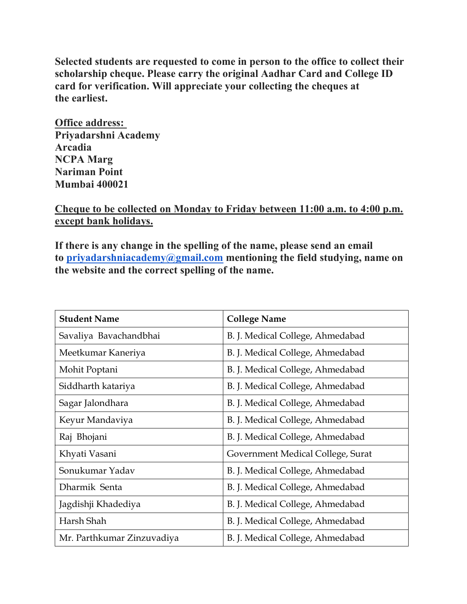Selected students are requested to come in person to the office to collect their scholarship cheque. Please carry the original Aadhar Card and College ID card for verification. Will appreciate your collecting the cheques at the earliest.

Office address: Priyadarshni Academy Arcadia NCPA Marg Nariman Point Mumbai 400021

## Cheque to be collected on Monday to Friday between 11:00 a.m. to 4:00 p.m. except bank holidays.

If there is any change in the spelling of the name, please send an email to priyadarshniacademy@gmail.com mentioning the field studying, name on the website and the correct spelling of the name.

| <b>Student Name</b>        | <b>College Name</b>               |
|----------------------------|-----------------------------------|
| Savaliya Bavachandbhai     | B. J. Medical College, Ahmedabad  |
| Meetkumar Kaneriya         | B. J. Medical College, Ahmedabad  |
| Mohit Poptani              | B. J. Medical College, Ahmedabad  |
| Siddharth katariya         | B. J. Medical College, Ahmedabad  |
| Sagar Jalondhara           | B. J. Medical College, Ahmedabad  |
| Keyur Mandaviya            | B. J. Medical College, Ahmedabad  |
| Raj Bhojani                | B. J. Medical College, Ahmedabad  |
| Khyati Vasani              | Government Medical College, Surat |
| Sonukumar Yadav            | B. J. Medical College, Ahmedabad  |
| Dharmik Senta              | B. J. Medical College, Ahmedabad  |
| Jagdishji Khadediya        | B. J. Medical College, Ahmedabad  |
| Harsh Shah                 | B. J. Medical College, Ahmedabad  |
| Mr. Parthkumar Zinzuvadiya | B. J. Medical College, Ahmedabad  |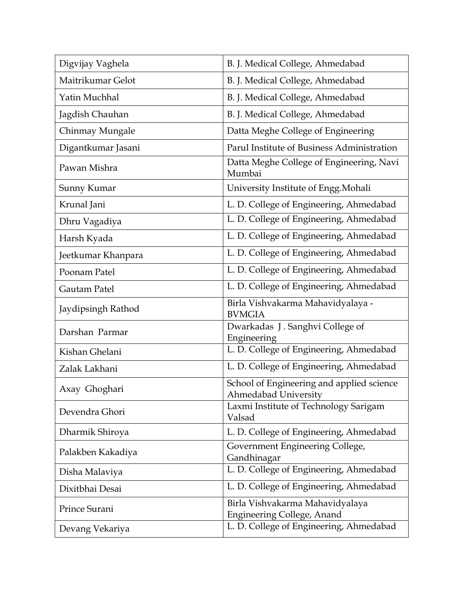| Digvijay Vaghela   | B. J. Medical College, Ahmedabad                                     |
|--------------------|----------------------------------------------------------------------|
| Maitrikumar Gelot  | B. J. Medical College, Ahmedabad                                     |
| Yatin Muchhal      | B. J. Medical College, Ahmedabad                                     |
| Jagdish Chauhan    | B. J. Medical College, Ahmedabad                                     |
| Chinmay Mungale    | Datta Meghe College of Engineering                                   |
| Digantkumar Jasani | Parul Institute of Business Administration                           |
| Pawan Mishra       | Datta Meghe College of Engineering, Navi<br>Mumbai                   |
| Sunny Kumar        | University Institute of Engg. Mohali                                 |
| Krunal Jani        | L. D. College of Engineering, Ahmedabad                              |
| Dhru Vagadiya      | L. D. College of Engineering, Ahmedabad                              |
| Harsh Kyada        | L. D. College of Engineering, Ahmedabad                              |
| Jeetkumar Khanpara | L. D. College of Engineering, Ahmedabad                              |
| Poonam Patel       | L. D. College of Engineering, Ahmedabad                              |
| Gautam Patel       | L. D. College of Engineering, Ahmedabad                              |
| Jaydipsingh Rathod | Birla Vishvakarma Mahavidyalaya -<br><b>BVMGIA</b>                   |
| Darshan Parmar     | Dwarkadas J. Sanghvi College of                                      |
|                    | Engineering                                                          |
| Kishan Ghelani     | L. D. College of Engineering, Ahmedabad                              |
| Zalak Lakhani      | L. D. College of Engineering, Ahmedabad                              |
| Axay Ghoghari      | School of Engineering and applied science<br>Ahmedabad Universitv    |
| Devendra Ghori     | Laxmi Institute of Technology Sarigam<br>Valsad                      |
| Dharmik Shiroya    | L. D. College of Engineering, Ahmedabad                              |
| Palakben Kakadiya  | Government Engineering College,<br>Gandhinagar                       |
| Disha Malaviya     | L. D. College of Engineering, Ahmedabad                              |
| Dixitbhai Desai    | L. D. College of Engineering, Ahmedabad                              |
| Prince Surani      | Birla Vishvakarma Mahavidyalaya<br><b>Engineering College, Anand</b> |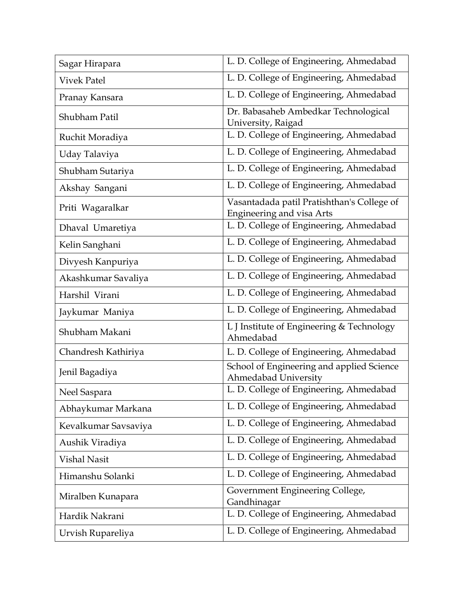| Sagar Hirapara       | L. D. College of Engineering, Ahmedabad                                        |
|----------------------|--------------------------------------------------------------------------------|
| <b>Vivek Patel</b>   | L. D. College of Engineering, Ahmedabad                                        |
| Pranay Kansara       | L. D. College of Engineering, Ahmedabad                                        |
| Shubham Patil        | Dr. Babasaheb Ambedkar Technological<br>University, Raigad                     |
| Ruchit Moradiya      | L. D. College of Engineering, Ahmedabad                                        |
| Uday Talaviya        | L. D. College of Engineering, Ahmedabad                                        |
| Shubham Sutariya     | L. D. College of Engineering, Ahmedabad                                        |
| Akshay Sangani       | L. D. College of Engineering, Ahmedabad                                        |
| Priti Wagaralkar     | Vasantadada patil Pratishthan's College of<br><b>Engineering and visa Arts</b> |
| Dhaval Umaretiya     | L. D. College of Engineering, Ahmedabad                                        |
| Kelin Sanghani       | L. D. College of Engineering, Ahmedabad                                        |
| Divyesh Kanpuriya    | L. D. College of Engineering, Ahmedabad                                        |
| Akashkumar Savaliya  | L. D. College of Engineering, Ahmedabad                                        |
| Harshil Virani       | L. D. College of Engineering, Ahmedabad                                        |
| Jaykumar Maniya      | L. D. College of Engineering, Ahmedabad                                        |
| Shubham Makani       | L J Institute of Engineering & Technology<br>Ahmedabad                         |
| Chandresh Kathiriya  | L. D. College of Engineering, Ahmedabad                                        |
| Jenil Bagadiya       | School of Engineering and applied Science<br><b>Ahmedabad University</b>       |
| Neel Saspara         | L. D. College of Engineering, Ahmedabad                                        |
| Abhaykumar Markana   | L. D. College of Engineering, Ahmedabad                                        |
| Kevalkumar Savsaviya | L. D. College of Engineering, Ahmedabad                                        |
| Aushik Viradiya      | L. D. College of Engineering, Ahmedabad                                        |
| <b>Vishal Nasit</b>  | L. D. College of Engineering, Ahmedabad                                        |
| Himanshu Solanki     | L. D. College of Engineering, Ahmedabad                                        |
| Miralben Kunapara    | Government Engineering College,<br>Gandhinagar                                 |
| Hardik Nakrani       | L. D. College of Engineering, Ahmedabad                                        |
| Urvish Rupareliya    | L. D. College of Engineering, Ahmedabad                                        |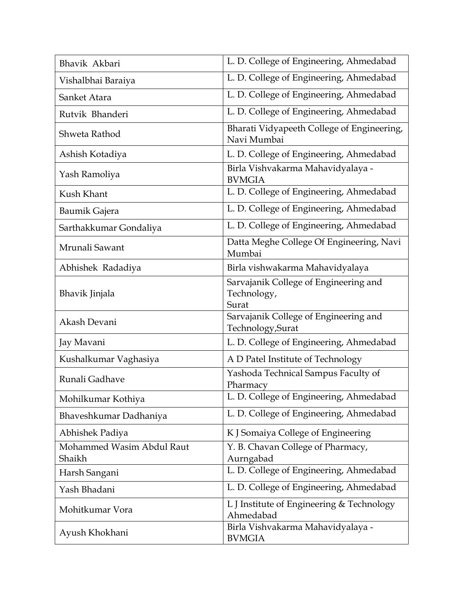| Bhavik Akbari                       | L. D. College of Engineering, Ahmedabad                       |
|-------------------------------------|---------------------------------------------------------------|
| Vishalbhai Baraiya                  | L. D. College of Engineering, Ahmedabad                       |
| Sanket Atara                        | L. D. College of Engineering, Ahmedabad                       |
| Rutvik Bhanderi                     | L. D. College of Engineering, Ahmedabad                       |
| Shweta Rathod                       | Bharati Vidyapeeth College of Engineering,<br>Navi Mumbai     |
| Ashish Kotadiya                     | L. D. College of Engineering, Ahmedabad                       |
| Yash Ramoliya                       | Birla Vishvakarma Mahavidyalaya -<br><b>BVMGIA</b>            |
| Kush Khant                          | L. D. College of Engineering, Ahmedabad                       |
| Baumik Gajera                       | L. D. College of Engineering, Ahmedabad                       |
| Sarthakkumar Gondaliya              | L. D. College of Engineering, Ahmedabad                       |
| Mrunali Sawant                      | Datta Meghe College Of Engineering, Navi<br>Mumbai            |
| Abhishek Radadiya                   | Birla vishwakarma Mahavidyalaya                               |
| Bhavik Jinjala                      | Sarvajanik College of Engineering and<br>Technology,<br>Surat |
| Akash Devani                        | Sarvajanik College of Engineering and<br>Technology, Surat    |
| Jay Mavani                          | L. D. College of Engineering, Ahmedabad                       |
| Kushalkumar Vaghasiya               | A D Patel Institute of Technology                             |
| Runali Gadhave                      | Yashoda Technical Sampus Faculty of<br>Pharmacy               |
| Mohilkumar Kothiya                  | L. D. College of Engineering, Ahmedabad                       |
| Bhaveshkumar Dadhaniya              | L. D. College of Engineering, Ahmedabad                       |
| Abhishek Padiya                     | K J Somaiya College of Engineering                            |
| Mohammed Wasim Abdul Raut<br>Shaikh | Y. B. Chavan College of Pharmacy,<br>Aurngabad                |
| Harsh Sangani                       | L. D. College of Engineering, Ahmedabad                       |
| Yash Bhadani                        | L. D. College of Engineering, Ahmedabad                       |
| Mohitkumar Vora                     | L J Institute of Engineering & Technology<br>Ahmedabad        |
| Ayush Khokhani                      | Birla Vishvakarma Mahavidyalaya -<br><b>BVMGIA</b>            |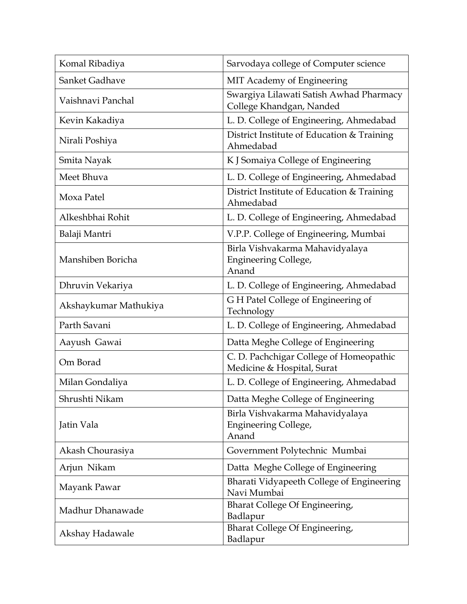| Komal Ribadiya        | Sarvodaya college of Computer science                                   |
|-----------------------|-------------------------------------------------------------------------|
| Sanket Gadhave        | MIT Academy of Engineering                                              |
| Vaishnavi Panchal     | Swargiya Lilawati Satish Awhad Pharmacy<br>College Khandgan, Nanded     |
| Kevin Kakadiya        | L. D. College of Engineering, Ahmedabad                                 |
| Nirali Poshiya        | District Institute of Education & Training<br>Ahmedabad                 |
| Smita Nayak           | K J Somaiya College of Engineering                                      |
| Meet Bhuva            | L. D. College of Engineering, Ahmedabad                                 |
| Moxa Patel            | District Institute of Education & Training<br>Ahmedabad                 |
| Alkeshbhai Rohit      | L. D. College of Engineering, Ahmedabad                                 |
| Balaji Mantri         | V.P.P. College of Engineering, Mumbai                                   |
| Manshiben Boricha     | Birla Vishvakarma Mahavidyalaya<br><b>Engineering College,</b><br>Anand |
| Dhruvin Vekariya      | L. D. College of Engineering, Ahmedabad                                 |
| Akshaykumar Mathukiya | GH Patel College of Engineering of<br>Technology                        |
| Parth Savani          | L. D. College of Engineering, Ahmedabad                                 |
| Aayush Gawai          | Datta Meghe College of Engineering                                      |
| Om Borad              | C. D. Pachchigar College of Homeopathic<br>Medicine & Hospital, Surat   |
| Milan Gondaliya       | L. D. College of Engineering, Ahmedabad                                 |
| Shrushti Nikam        | Datta Meghe College of Engineering                                      |
| Jatin Vala            | Birla Vishvakarma Mahavidyalaya<br><b>Engineering College,</b><br>Anand |
| Akash Chourasiya      | Government Polytechnic Mumbai                                           |
| Arjun Nikam           | Datta Meghe College of Engineering                                      |
| Mayank Pawar          | Bharati Vidyapeeth College of Engineering<br>Navi Mumbai                |
| Madhur Dhanawade      | Bharat College Of Engineering,<br>Badlapur                              |
| Akshay Hadawale       | Bharat College Of Engineering,<br>Badlapur                              |